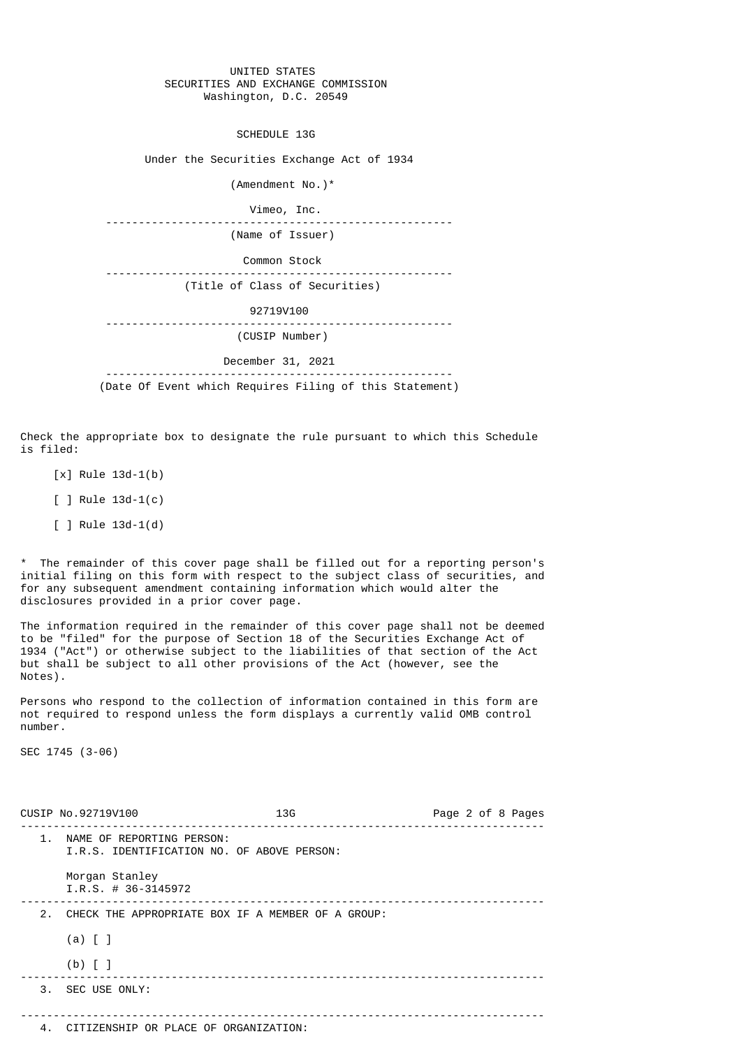## UNITED STATES SECURITIES AND EXCHANGE COMMISSION Washington, D.C. 20549

SCHEDULE 13G

Under the Securities Exchange Act of 1934

 (Amendment No.)\* Vimeo, Inc. ----------------------------------------------------- (Name of Issuer) Common Stock ----------------------------------------------------- (Title of Class of Securities) 92719V100 ----------------------------------------------------- (CUSIP Number) December 31, 2021 -----------------------------------------------------

(Date Of Event which Requires Filing of this Statement)

Check the appropriate box to designate the rule pursuant to which this Schedule is filed:

- [x] Rule 13d-1(b)
- [ ] Rule 13d-1(c)
- [ ] Rule 13d-1(d)

\* The remainder of this cover page shall be filled out for a reporting person's initial filing on this form with respect to the subject class of securities, and for any subsequent amendment containing information which would alter the disclosures provided in a prior cover page.

The information required in the remainder of this cover page shall not be deemed to be "filed" for the purpose of Section 18 of the Securities Exchange Act of 1934 ("Act") or otherwise subject to the liabilities of that section of the Act but shall be subject to all other provisions of the Act (however, see the Notes).

Persons who respond to the collection of information contained in this form are not required to respond unless the form displays a currently valid OMB control number.

SEC 1745 (3-06)

|               | CUSIP No.92719V100                                                      | 13G | Page 2 of 8 Pages |
|---------------|-------------------------------------------------------------------------|-----|-------------------|
| $\mathbf 1$ . | NAME OF REPORTING PERSON:<br>I.R.S. IDENTIFICATION NO. OF ABOVE PERSON: |     |                   |
|               | Morgan Stanley<br>$I.R.S. # 36-3145972$                                 |     |                   |
| 2.            | CHECK THE APPROPRIATE BOX IF A MEMBER OF A GROUP:                       |     |                   |
|               | $(a)$ $[$ $]$                                                           |     |                   |
|               | $(b)$ [ ]                                                               |     |                   |
|               | 3. SEC USE ONLY:                                                        |     |                   |
|               |                                                                         |     |                   |
|               | 4. CITIZENSHIP OR PLACE OF ORGANIZATION:                                |     |                   |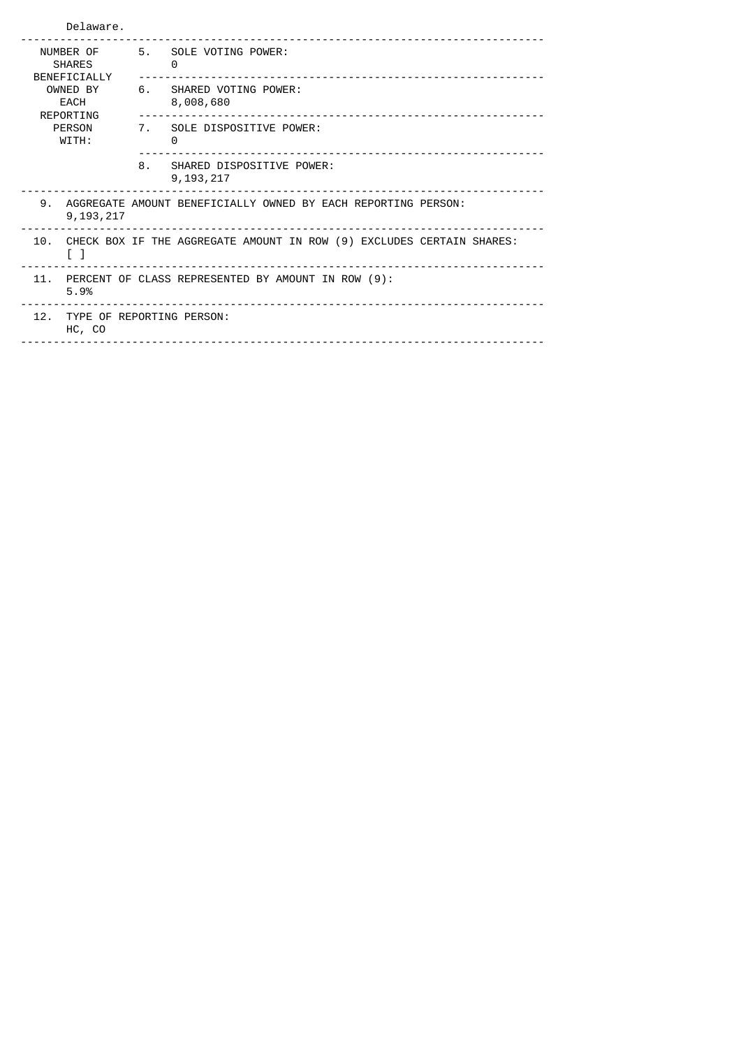| Delaware.                                  |                                                                                             |                                                                        |  |  |
|--------------------------------------------|---------------------------------------------------------------------------------------------|------------------------------------------------------------------------|--|--|
| NUMBER OF<br><b>SHARES</b><br>BENEFICIALLY | 5.                                                                                          | SOLE VOTING POWER:<br>0                                                |  |  |
| OWNED BY<br>EACH<br>REPORTING              | 6.                                                                                          | SHARED VOTING POWER:<br>8,008,680<br>_________________________________ |  |  |
| <b>PERSON</b><br>WITH:                     |                                                                                             | 7. SOLE DISPOSITIVE POWER:<br>0                                        |  |  |
|                                            | 8.                                                                                          | SHARED DISPOSITIVE POWER:<br>9, 193, 217                               |  |  |
| 9.<br>9, 193, 217                          |                                                                                             | AGGREGATE AMOUNT BENEFICIALLY OWNED BY EACH REPORTING PERSON:          |  |  |
| $\begin{bmatrix} 1 \end{bmatrix}$          | 10. CHECK BOX IF THE AGGREGATE AMOUNT IN ROW (9) EXCLUDES CERTAIN SHARES:                   |                                                                        |  |  |
| 5.9%                                       | 11. PERCENT OF CLASS REPRESENTED BY AMOUNT IN ROW (9):<br>_________________________________ |                                                                        |  |  |
| HC, CO                                     | 12. TYPE OF REPORTING PERSON:                                                               |                                                                        |  |  |
|                                            |                                                                                             |                                                                        |  |  |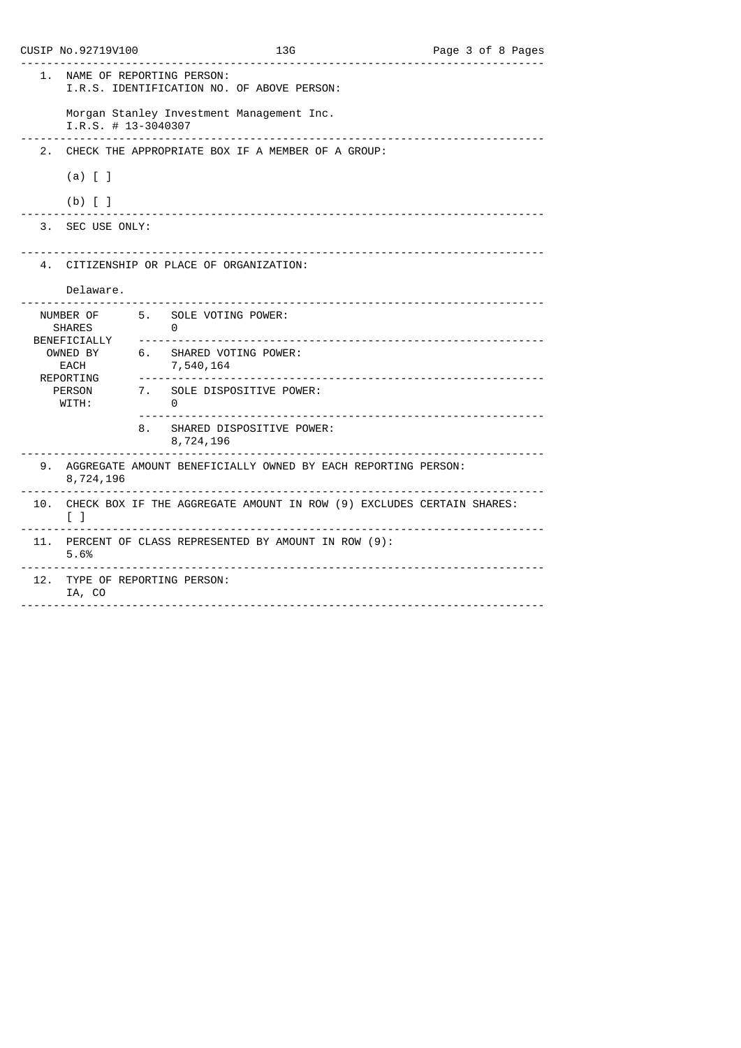|                                                       | CUSIP No.92719V100                      | 13G<br><u>.</u> .                                                     | Page 3 of 8 Pages |
|-------------------------------------------------------|-----------------------------------------|-----------------------------------------------------------------------|-------------------|
| 1.                                                    | NAME OF REPORTING PERSON:               | I.R.S. IDENTIFICATION NO. OF ABOVE PERSON:                            |                   |
|                                                       | $I.R.S. # 13-3040307$<br><u>.</u>       | Morgan Stanley Investment Management Inc.                             |                   |
| 2 <sub>1</sub>                                        |                                         | CHECK THE APPROPRIATE BOX IF A MEMBER OF A GROUP:                     |                   |
|                                                       | $(a)$ $[$ $]$                           |                                                                       |                   |
|                                                       | $(b)$ [ ]                               |                                                                       |                   |
| 3.                                                    | SEC USE ONLY:                           |                                                                       |                   |
|                                                       |                                         | 4. CITIZENSHIP OR PLACE OF ORGANIZATION:                              |                   |
|                                                       | Delaware.                               |                                                                       |                   |
| NUMBER OF 5. SOLE VOTING POWER:<br><b>SHARES</b><br>. |                                         | 0                                                                     |                   |
|                                                       | BENEFICIALLY<br>OWNED BY<br>EACH        | 6. SHARED VOTING POWER:<br>7,540,164                                  |                   |
|                                                       | REPORTING<br>PERSON<br>WITH:            | 7. SOLE DISPOSITIVE POWER:<br>0                                       |                   |
|                                                       | 8.                                      | SHARED DISPOSITIVE POWER:<br>8,724,196                                |                   |
|                                                       | 8,724,196                               | 9. AGGREGATE AMOUNT BENEFICIALLY OWNED BY EACH REPORTING PERSON:      |                   |
| 10.                                                   | $\begin{bmatrix} 1 \end{bmatrix}$       | CHECK BOX IF THE AGGREGATE AMOUNT IN ROW (9) EXCLUDES CERTAIN SHARES: |                   |
|                                                       | 5.6%                                    | 11. PERCENT OF CLASS REPRESENTED BY AMOUNT IN ROW (9):                |                   |
|                                                       | 12. TYPE OF REPORTING PERSON:<br>IA, CO |                                                                       |                   |
|                                                       |                                         |                                                                       |                   |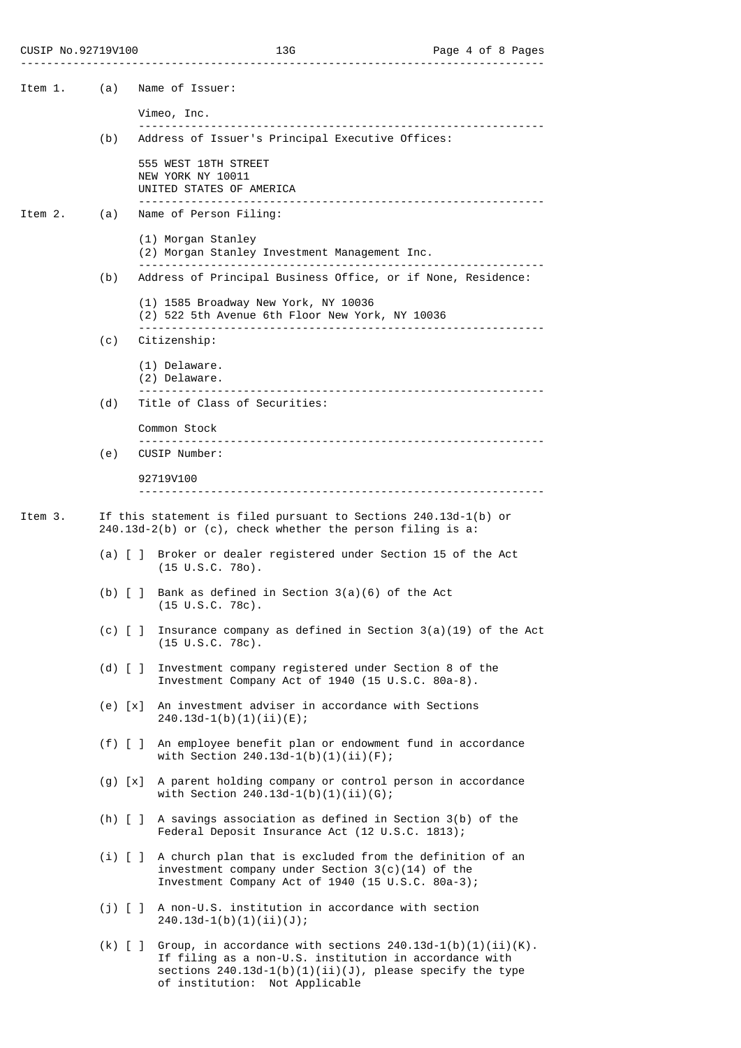| Item 1. | (a)                                     | Name of Issuer:                                                                                                                                                                                                          |
|---------|-----------------------------------------|--------------------------------------------------------------------------------------------------------------------------------------------------------------------------------------------------------------------------|
|         |                                         | Vimeo, Inc.                                                                                                                                                                                                              |
|         | (b)                                     | Address of Issuer's Principal Executive Offices:                                                                                                                                                                         |
|         |                                         | 555 WEST 18TH STREET<br>NEW YORK NY 10011<br>UNITED STATES OF AMERICA                                                                                                                                                    |
| Item 2. | (a)                                     | Name of Person Filing:                                                                                                                                                                                                   |
|         |                                         | (1) Morgan Stanley<br>(2) Morgan Stanley Investment Management Inc.                                                                                                                                                      |
|         | (b)                                     | Address of Principal Business Office, or if None, Residence:                                                                                                                                                             |
|         |                                         | (1) 1585 Broadway New York, NY 10036<br>(2) 522 5th Avenue 6th Floor New York, NY 10036                                                                                                                                  |
|         | (c)                                     | Citizenship:                                                                                                                                                                                                             |
|         |                                         | (1) Delaware.<br>(2) Delaware.                                                                                                                                                                                           |
|         | (d)                                     | Title of Class of Securities:                                                                                                                                                                                            |
|         |                                         | Common Stock                                                                                                                                                                                                             |
|         | (e)                                     | CUSIP Number:                                                                                                                                                                                                            |
|         |                                         | 92719V100                                                                                                                                                                                                                |
| Item 3. |                                         | If this statement is filed pursuant to Sections $240.13d-1(b)$ or                                                                                                                                                        |
|         |                                         | $240.13d-2(b)$ or (c), check whether the person filing is a:                                                                                                                                                             |
|         |                                         | (a) [ ] Broker or dealer registered under Section 15 of the Act<br>$(15 \cup S.C. 780)$ .                                                                                                                                |
|         | $(b)$ $\begin{bmatrix} 1 \end{bmatrix}$ | Bank as defined in Section $3(a)(6)$ of the Act<br>$(15 \cup S.C. 78c)$ .                                                                                                                                                |
|         | $(c)$ [ ]                               | Insurance company as defined in Section $3(a)(19)$ of the Act<br>$(15 \text{ U.S.C. } 78c)$ .                                                                                                                            |
|         | $(d)$ $\begin{bmatrix} 1 \end{bmatrix}$ | Investment company registered under Section 8 of the<br>Investment Company Act of 1940 (15 U.S.C. 80a-8).                                                                                                                |
|         | $(e) \lfloor x \rfloor$                 | An investment adviser in accordance with Sections<br>$240.13d-1(b)(1)(ii)(E);$                                                                                                                                           |
|         | $(f)$ $[$ $]$                           | An employee benefit plan or endowment fund in accordance<br>with Section $240.13d-1(b)(1)(ii)(F)$ ;                                                                                                                      |
|         | (g) [x]                                 | A parent holding company or control person in accordance<br>with Section $240.13d-1(b)(1)(ii)(G);$                                                                                                                       |
|         |                                         | (h) $[ ]$ A savings association as defined in Section 3(b) of the<br>Federal Deposit Insurance Act (12 U.S.C. 1813);                                                                                                     |
|         |                                         | (i) [ ] A church plan that is excluded from the definition of an<br>investment company under Section $3(c)(14)$ of the<br>Investment Company Act of 1940 (15 U.S.C. 80a-3);                                              |
|         | $(j)$ [ ]                               | A non-U.S. institution in accordance with section<br>$240.13d-1(b)(1)(ii)(J);$                                                                                                                                           |
|         | $(k)$ [ ]                               | Group, in accordance with sections $240.13d-1(b)(1)(ii)(K)$ .<br>If filing as a non-U.S. institution in accordance with<br>sections $240.13d-1(b)(1)(ii)(J)$ , please specify the type<br>of institution: Not Applicable |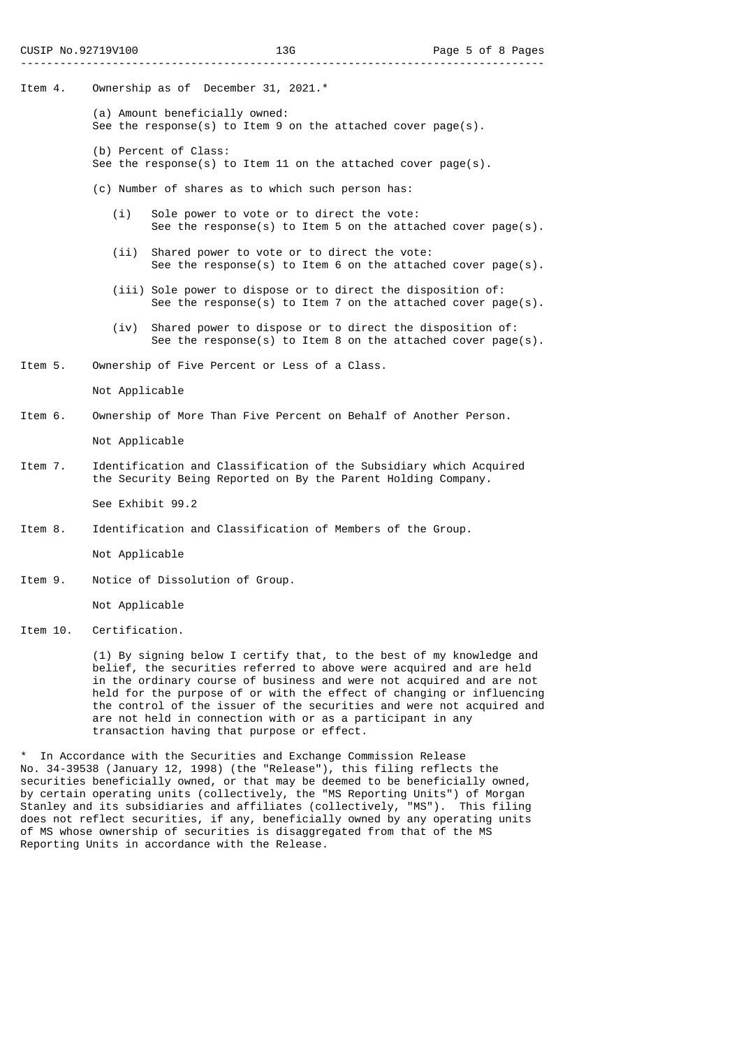- Item 4. Ownership as of December 31, 2021.\*
	- (a) Amount beneficially owned: See the response(s) to Item 9 on the attached cover page(s).
	- (b) Percent of Class:
	- See the response(s) to Item 11 on the attached cover page(s).
	- (c) Number of shares as to which such person has:
		- (i) Sole power to vote or to direct the vote: See the response(s) to Item 5 on the attached cover page(s).
		- (ii) Shared power to vote or to direct the vote: See the response(s) to Item 6 on the attached cover page(s).
		- (iii) Sole power to dispose or to direct the disposition of: See the response(s) to Item 7 on the attached cover page(s).
		- (iv) Shared power to dispose or to direct the disposition of: See the response(s) to Item 8 on the attached cover page(s).
- Item 5. Ownership of Five Percent or Less of a Class.

Not Applicable

Item 6. Ownership of More Than Five Percent on Behalf of Another Person.

Not Applicable

Item 7. Identification and Classification of the Subsidiary which Acquired the Security Being Reported on By the Parent Holding Company.

See Exhibit 99.2

Item 8. Identification and Classification of Members of the Group.

Not Applicable

Item 9. Notice of Dissolution of Group.

Not Applicable

Item 10. Certification.

 (1) By signing below I certify that, to the best of my knowledge and belief, the securities referred to above were acquired and are held in the ordinary course of business and were not acquired and are not held for the purpose of or with the effect of changing or influencing the control of the issuer of the securities and were not acquired and are not held in connection with or as a participant in any transaction having that purpose or effect.

In Accordance with the Securities and Exchange Commission Release No. 34-39538 (January 12, 1998) (the "Release"), this filing reflects the securities beneficially owned, or that may be deemed to be beneficially owned, by certain operating units (collectively, the "MS Reporting Units") of Morgan Stanley and its subsidiaries and affiliates (collectively, "MS"). This filing does not reflect securities, if any, beneficially owned by any operating units of MS whose ownership of securities is disaggregated from that of the MS Reporting Units in accordance with the Release.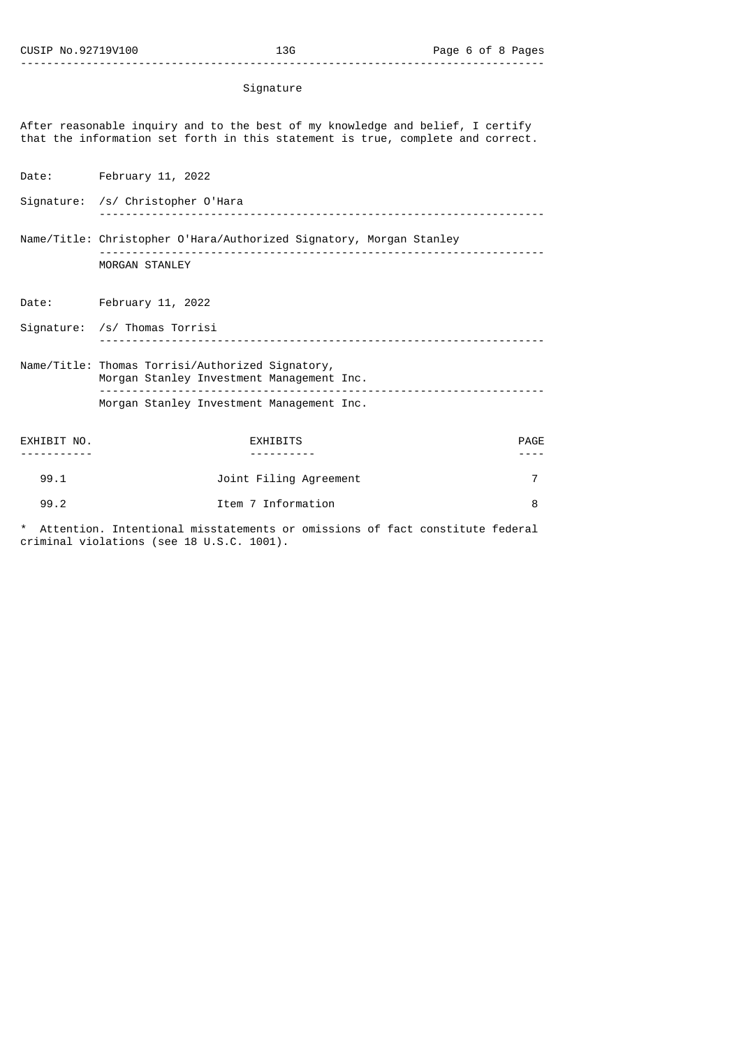## Signature

After reasonable inquiry and to the best of my knowledge and belief, I certify that the information set forth in this statement is true, complete and correct.

Date: February 11, 2022

Signature: /s/ Christopher O'Hara -------------------------------------------------------------------- Name/Title: Christopher O'Hara/Authorized Signatory, Morgan Stanley -------------------------------------------------------------------- MORGAN STANLEY

Date: February 11, 2022

Signature: /s/ Thomas Torrisi -------------------------------------------------------------------- Name/Title: Thomas Torrisi/Authorized Signatory,

 Morgan Stanley Investment Management Inc. -------------------------------------------------------------------- Morgan Stanley Investment Management Inc.

| EXHIBIT NO. | <b>EXHIBITS</b>        | PAGE |
|-------------|------------------------|------|
|             |                        |      |
| 99.1        | Joint Filing Agreement |      |
| 99.2        | Item 7 Information     |      |

Attention. Intentional misstatements or omissions of fact constitute federal criminal violations (see 18 U.S.C. 1001).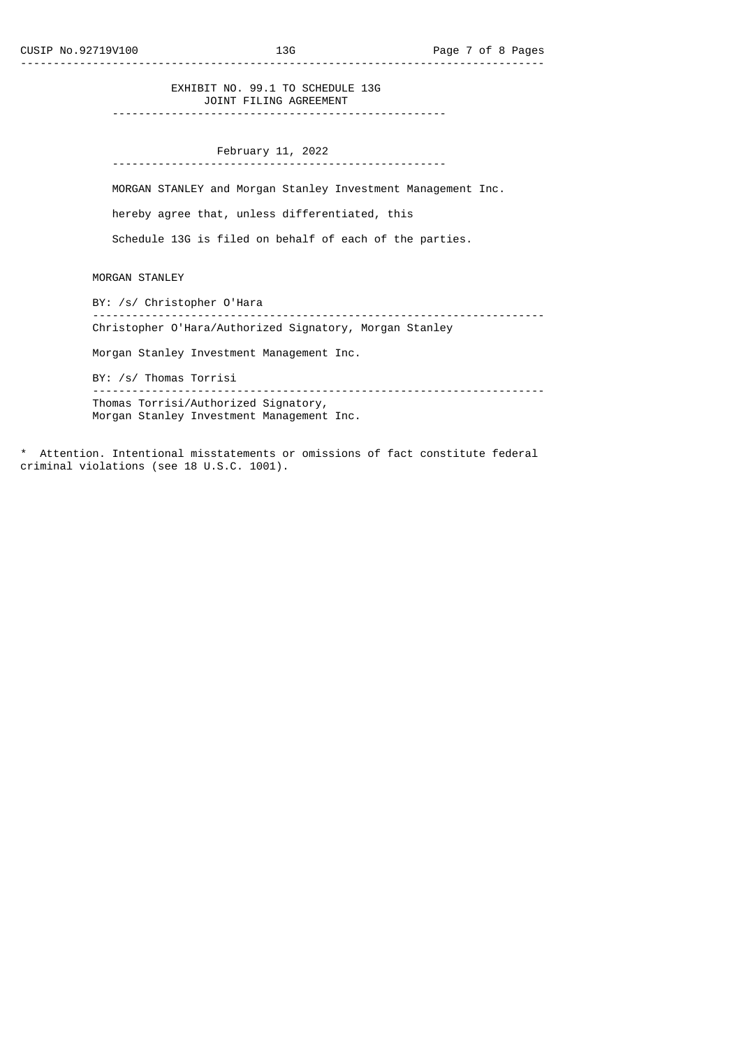EXHIBIT NO. 99.1 TO SCHEDULE 13G JOINT FILING AGREEMENT

---------------------------------------------------

 February 11, 2022 ---------------------------------------------------

MORGAN STANLEY and Morgan Stanley Investment Management Inc.

hereby agree that, unless differentiated, this

Schedule 13G is filed on behalf of each of the parties.

MORGAN STANLEY

 BY: /s/ Christopher O'Hara --------------------------------------------------------------------- Christopher O'Hara/Authorized Signatory, Morgan Stanley

Morgan Stanley Investment Management Inc.

BY: /s/ Thomas Torrisi

 --------------------------------------------------------------------- Thomas Torrisi/Authorized Signatory, Morgan Stanley Investment Management Inc.

\* Attention. Intentional misstatements or omissions of fact constitute federal criminal violations (see 18 U.S.C. 1001).